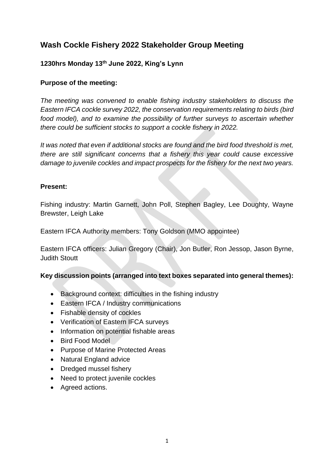# **Wash Cockle Fishery 2022 Stakeholder Group Meeting**

## **1230hrs Monday 13th June 2022, King's Lynn**

## **Purpose of the meeting:**

*The meeting was convened to enable fishing industry stakeholders to discuss the Eastern IFCA cockle survey 2022, the conservation requirements relating to birds (bird*  food model), and to examine the possibility of further surveys to ascertain whether *there could be sufficient stocks to support a cockle fishery in 2022.*

*It was noted that even if additional stocks are found and the bird food threshold is met, there are still significant concerns that a fishery this year could cause excessive damage to juvenile cockles and impact prospects for the fishery for the next two years.*

## **Present:**

Fishing industry: Martin Garnett, John Poll, Stephen Bagley, Lee Doughty, Wayne Brewster, Leigh Lake

Eastern IFCA Authority members: Tony Goldson (MMO appointee)

Eastern IFCA officers: Julian Gregory (Chair), Jon Butler, Ron Jessop, Jason Byrne, Judith Stoutt

## **Key discussion points (arranged into text boxes separated into general themes):**

- Background context: difficulties in the fishing industry
- Eastern IFCA / Industry communications
- Fishable density of cockles
- Verification of Eastern IFCA surveys
- Information on potential fishable areas
- Bird Food Model
- Purpose of Marine Protected Areas
- Natural England advice
- Dredged mussel fishery
- Need to protect juvenile cockles
- Agreed actions.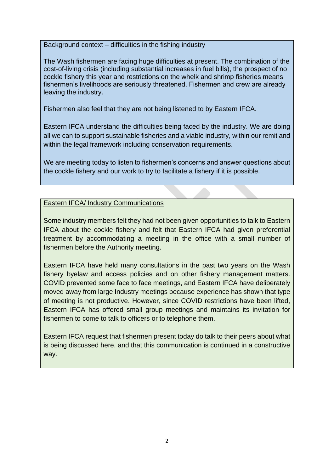#### Background context – difficulties in the fishing industry

The Wash fishermen are facing huge difficulties at present. The combination of the cost-of-living crisis (including substantial increases in fuel bills), the prospect of no cockle fishery this year and restrictions on the whelk and shrimp fisheries means fishermen's livelihoods are seriously threatened. Fishermen and crew are already leaving the industry.

Fishermen also feel that they are not being listened to by Eastern IFCA.

Eastern IFCA understand the difficulties being faced by the industry. We are doing all we can to support sustainable fisheries and a viable industry, within our remit and within the legal framework including conservation requirements.

We are meeting today to listen to fishermen's concerns and answer questions about the cockle fishery and our work to try to facilitate a fishery if it is possible.

Eastern IFCA/ Industry Communications

Some industry members felt they had not been given opportunities to talk to Eastern IFCA about the cockle fishery and felt that Eastern IFCA had given preferential treatment by accommodating a meeting in the office with a small number of fishermen before the Authority meeting.

Eastern IFCA have held many consultations in the past two years on the Wash fishery byelaw and access policies and on other fishery management matters. COVID prevented some face to face meetings, and Eastern IFCA have deliberately moved away from large Industry meetings because experience has shown that type of meeting is not productive. However, since COVID restrictions have been lifted, Eastern IFCA has offered small group meetings and maintains its invitation for fishermen to come to talk to officers or to telephone them.

Eastern IFCA request that fishermen present today do talk to their peers about what is being discussed here, and that this communication is continued in a constructive way.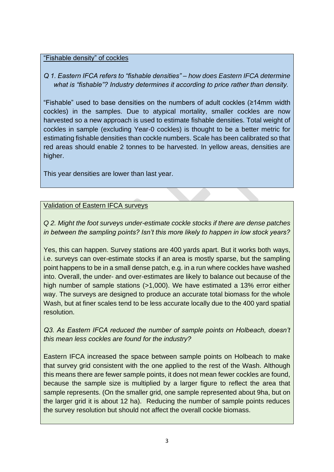#### "Fishable density" of cockles

## *Q 1. Eastern IFCA refers to "fishable densities" – how does Eastern IFCA determine what is "fishable"? Industry determines it according to price rather than density.*

"Fishable" used to base densities on the numbers of adult cockles (≥14mm width cockles) in the samples. Due to atypical mortality, smaller cockles are now harvested so a new approach is used to estimate fishable densities. Total weight of cockles in sample (excluding Year-0 cockles) is thought to be a better metric for estimating fishable densities than cockle numbers. Scale has been calibrated so that red areas should enable 2 tonnes to be harvested. In yellow areas, densities are higher.

This year densities are lower than last year.

## Validation of Eastern IFCA surveys

*Q 2. Might the foot surveys under-estimate cockle stocks if there are dense patches in between the sampling points? Isn't this more likely to happen in low stock years?*

Yes, this can happen. Survey stations are 400 yards apart. But it works both ways, i.e. surveys can over-estimate stocks if an area is mostly sparse, but the sampling point happens to be in a small dense patch, e.g. in a run where cockles have washed into. Overall, the under- and over-estimates are likely to balance out because of the high number of sample stations (>1,000). We have estimated a 13% error either way. The surveys are designed to produce an accurate total biomass for the whole Wash, but at finer scales tend to be less accurate locally due to the 400 yard spatial resolution.

*Q3. As Eastern IFCA reduced the number of sample points on Holbeach, doesn't this mean less cockles are found for the industry?*

Eastern IFCA increased the space between sample points on Holbeach to make that survey grid consistent with the one applied to the rest of the Wash. Although this means there are fewer sample points, it does not mean fewer cockles are found, because the sample size is multiplied by a larger figure to reflect the area that sample represents. (On the smaller grid, one sample represented about 9ha, but on the larger grid it is about 12 ha). Reducing the number of sample points reduces the survey resolution but should not affect the overall cockle biomass.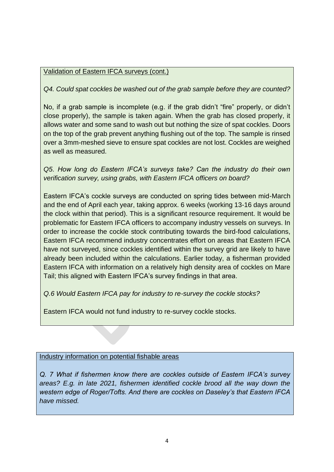## Validation of Eastern IFCA surveys (cont.)

*Q4. Could spat cockles be washed out of the grab sample before they are counted?*

No, if a grab sample is incomplete (e.g. if the grab didn't "fire" properly, or didn't close properly), the sample is taken again. When the grab has closed properly, it allows water and some sand to wash out but nothing the size of spat cockles. Doors on the top of the grab prevent anything flushing out of the top. The sample is rinsed over a 3mm-meshed sieve to ensure spat cockles are not lost. Cockles are weighed as well as measured.

*Q5. How long do Eastern IFCA's surveys take? Can the industry do their own verification survey, using grabs, with Eastern IFCA officers on board?* 

Eastern IFCA's cockle surveys are conducted on spring tides between mid-March and the end of April each year, taking approx. 6 weeks (working 13-16 days around the clock within that period). This is a significant resource requirement. It would be problematic for Eastern IFCA officers to accompany industry vessels on surveys. In order to increase the cockle stock contributing towards the bird-food calculations, Eastern IFCA recommend industry concentrates effort on areas that Eastern IFCA have not surveyed, since cockles identified within the survey grid are likely to have already been included within the calculations. Earlier today, a fisherman provided Eastern IFCA with information on a relatively high density area of cockles on Mare Tail; this aligned with Eastern IFCA's survey findings in that area.

*Q.6 Would Eastern IFCA pay for industry to re-survey the cockle stocks?*

Eastern IFCA would not fund industry to re-survey cockle stocks.

## Industry information on potential fishable areas

*Q. 7 What if fishermen know there are cockles outside of Eastern IFCA's survey areas? E.g. in late 2021, fishermen identified cockle brood all the way down the western edge of Roger/Tofts. And there are cockles on Daseley's that Eastern IFCA have missed.*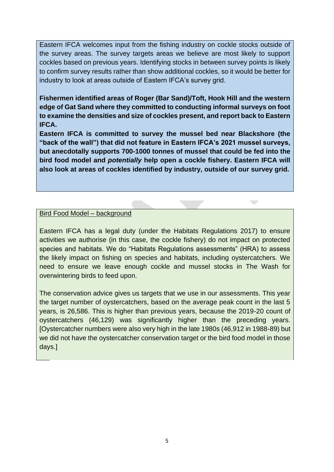Eastern IFCA welcomes input from the fishing industry on cockle stocks outside of the survey areas. The survey targets areas we believe are most likely to support cockles based on previous years. Identifying stocks in between survey points is likely to confirm survey results rather than show additional cockles, so it would be better for industry to look at areas outside of Eastern IFCA's survey grid.

**Fishermen identified areas of Roger (Bar Sand)/Toft, Hook Hill and the western edge of Gat Sand where they committed to conducting informal surveys on foot to examine the densities and size of cockles present, and report back to Eastern IFCA.** 

**Eastern IFCA is committed to survey the mussel bed near Blackshore (the "back of the wall") that did not feature in Eastern IFCA's 2021 mussel surveys, but anecdotally supports 700-1000 tonnes of mussel that could be fed into the bird food model and** *potentially* **help open a cockle fishery. Eastern IFCA will also look at areas of cockles identified by industry, outside of our survey grid.** 

 $\sum_{i=1}^{n}$ 

#### Bird Food Model – background

Eastern IFCA has a legal duty (under the Habitats Regulations 2017) to ensure activities we authorise (in this case, the cockle fishery) do not impact on protected species and habitats. We do "Habitats Regulations assessments" (HRA) to assess the likely impact on fishing on species and habitats, including oystercatchers. We need to ensure we leave enough cockle and mussel stocks in The Wash for overwintering birds to feed upon.

The conservation advice gives us targets that we use in our assessments. This year the target number of oystercatchers, based on the average peak count in the last 5 years, is 26,586. This is higher than previous years, because the 2019-20 count of oystercatchers (46,129) was significantly higher than the preceding years. [Oystercatcher numbers were also very high in the late 1980s (46,912 in 1988-89) but we did not have the oystercatcher conservation target or the bird food model in those days.]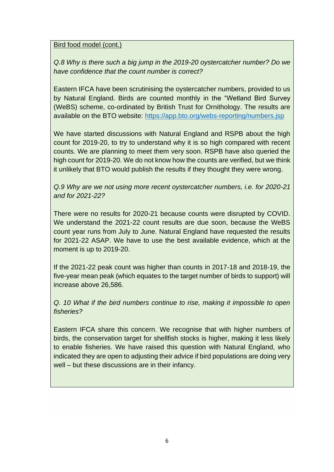#### Bird food model (cont.)

*Q.8 Why is there such a big jump in the 2019-20 oystercatcher number? Do we have confidence that the count number is correct?* 

Eastern IFCA have been scrutinising the oystercatcher numbers, provided to us by Natural England. Birds are counted monthly in the "Wetland Bird Survey (WeBS) scheme, co-ordinated by British Trust for Ornithology. The results are available on the BTO website:<https://app.bto.org/webs-reporting/numbers.jsp>

We have started discussions with Natural England and RSPB about the high count for 2019-20, to try to understand why it is so high compared with recent counts. We are planning to meet them very soon. RSPB have also queried the high count for 2019-20. We do not know how the counts are verified, but we think it unlikely that BTO would publish the results if they thought they were wrong.

*Q.9 Why are we not using more recent oystercatcher numbers, i.e. for 2020-21 and for 2021-22?*

There were no results for 2020-21 because counts were disrupted by COVID. We understand the 2021-22 count results are due soon, because the WeBS count year runs from July to June. Natural England have requested the results for 2021-22 ASAP. We have to use the best available evidence, which at the moment is up to 2019-20.

If the 2021-22 peak count was higher than counts in 2017-18 and 2018-19, the five-year mean peak (which equates to the target number of birds to support) will increase above 26,586.

*Q. 10 What if the bird numbers continue to rise, making it impossible to open fisheries?*

Eastern IFCA share this concern. We recognise that with higher numbers of birds, the conservation target for shellfish stocks is higher, making it less likely to enable fisheries. We have raised this question with Natural England, who indicated they are open to adjusting their advice if bird populations are doing very well – but these discussions are in their infancy.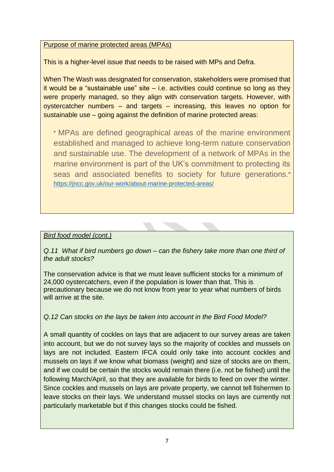## Purpose of marine protected areas (MPAs)

This is a higher-level issue that needs to be raised with MPs and Defra.

When The Wash was designated for conservation, stakeholders were promised that it would be a "sustainable use" site  $-$  i.e. activities could continue so long as they were properly managed, so they align with conservation targets. However, with oystercatcher numbers – and targets – increasing, this leaves no option for sustainable use – going against the definition of marine protected areas:

" MPAs are defined geographical areas of the marine environment established and managed to achieve long-term nature conservation and sustainable use. The development of a network of MPAs in the marine environment is part of the UK's commitment to protecting its seas and associated benefits to society for future generations." <https://jncc.gov.uk/our-work/about-marine-protected-areas/>

## *Bird food model (cont.)*

*Q.11 What if bird numbers go down – can the fishery take more than one third of the adult stocks?*

The conservation advice is that we must leave sufficient stocks for a minimum of 24,000 oystercatchers, even if the population is lower than that. This is precautionary because we do not know from year to year what numbers of birds will arrive at the site.

*Q.12 Can stocks on the lays be taken into account in the Bird Food Model?*

A small quantity of cockles on lays that are adjacent to our survey areas are taken into account, but we do not survey lays so the majority of cockles and mussels on lays are not included. Eastern IFCA could only take into account cockles and mussels on lays if we know what biomass (weight) and size of stocks are on them, and if we could be certain the stocks would remain there (i.e. not be fished) until the following March/April, so that they are available for birds to feed on over the winter. Since cockles and mussels on lays are private property, we cannot tell fishermen to leave stocks on their lays. We understand mussel stocks on lays are currently not particularly marketable but if this changes stocks could be fished.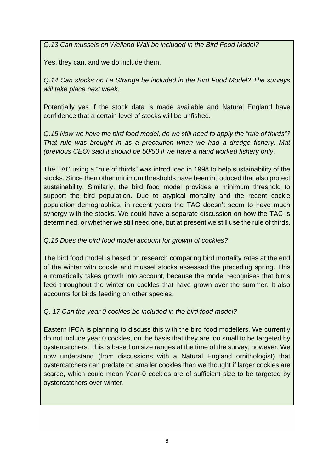*Q.13 Can mussels on Welland Wall be included in the Bird Food Model?*

Yes, they can, and we do include them.

*Q.14 Can stocks on Le Strange be included in the Bird Food Model? The surveys will take place next week.*

Potentially yes if the stock data is made available and Natural England have confidence that a certain level of stocks will be unfished.

*Q.15 Now we have the bird food model, do we still need to apply the "rule of thirds"? That rule was brought in as a precaution when we had a dredge fishery. Mat (previous CEO) said it should be 50/50 if we have a hand worked fishery only.*

The TAC using a "rule of thirds" was introduced in 1998 to help sustainability of the stocks. Since then other minimum thresholds have been introduced that also protect sustainability. Similarly, the bird food model provides a minimum threshold to support the bird population. Due to atypical mortality and the recent cockle population demographics, in recent years the TAC doesn't seem to have much synergy with the stocks. We could have a separate discussion on how the TAC is determined, or whether we still need one, but at present we still use the rule of thirds.

## *Q.16 Does the bird food model account for growth of cockles?*

The bird food model is based on research comparing bird mortality rates at the end of the winter with cockle and mussel stocks assessed the preceding spring. This automatically takes growth into account, because the model recognises that birds feed throughout the winter on cockles that have grown over the summer. It also accounts for birds feeding on other species.

## *Q. 17 Can the year 0 cockles be included in the bird food model?*

Eastern IFCA is planning to discuss this with the bird food modellers. We currently do not include year 0 cockles, on the basis that they are too small to be targeted by oystercatchers. This is based on size ranges at the time of the survey, however. We now understand (from discussions with a Natural England ornithologist) that oystercatchers can predate on smaller cockles than we thought if larger cockles are scarce, which could mean Year-0 cockles are of sufficient size to be targeted by oystercatchers over winter.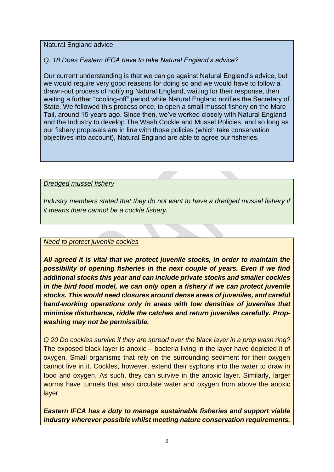#### Natural England advice

## *Q. 18 Does Eastern IFCA have to take Natural England's advice?*

Our current understanding is that we can go against Natural England's advice, but we would require very good reasons for doing so and we would have to follow a drawn-out process of notifying Natural England, waiting for their response, then waiting a further "cooling-off" period while Natural England notifies the Secretary of State. We followed this process once, to open a small mussel fishery on the Mare Tail, around 15 years ago. Since then, we've worked closely with Natural England and the Industry to develop The Wash Cockle and Mussel Policies, and so long as our fishery proposals are in line with those policies (which take conservation objectives into account), Natural England are able to agree our fisheries.

*Dredged mussel fishery*

*Industry members stated that they do not want to have a dredged mussel fishery if it means there cannot be a cockle fishery.*

#### *Need to protect juvenile cockles*

*All agreed it is vital that we protect juvenile stocks, in order to maintain the possibility of opening fisheries in the next couple of years. Even if we find additional stocks this year and can include private stocks and smaller cockles in the bird food model, we can only open a fishery if we can protect juvenile stocks. This would need closures around dense areas of juveniles, and careful hand-working operations only in areas with low densities of juveniles that minimise disturbance, riddle the catches and return juveniles carefully. Propwashing may not be permissible.*

*Q 20 Do cockles survive if they are spread over the black layer in a prop wash ring?* The exposed black layer is anoxic – bacteria living in the layer have depleted it of oxygen. Small organisms that rely on the surrounding sediment for their oxygen cannot live in it. Cockles, however, extend their syphons into the water to draw in food and oxygen. As such, they can survive in the anoxic layer. Similarly, larger worms have tunnels that also circulate water and oxygen from above the anoxic layer

*Eastern IFCA has a duty to manage sustainable fisheries and support viable industry wherever possible whilst meeting nature conservation requirements,*